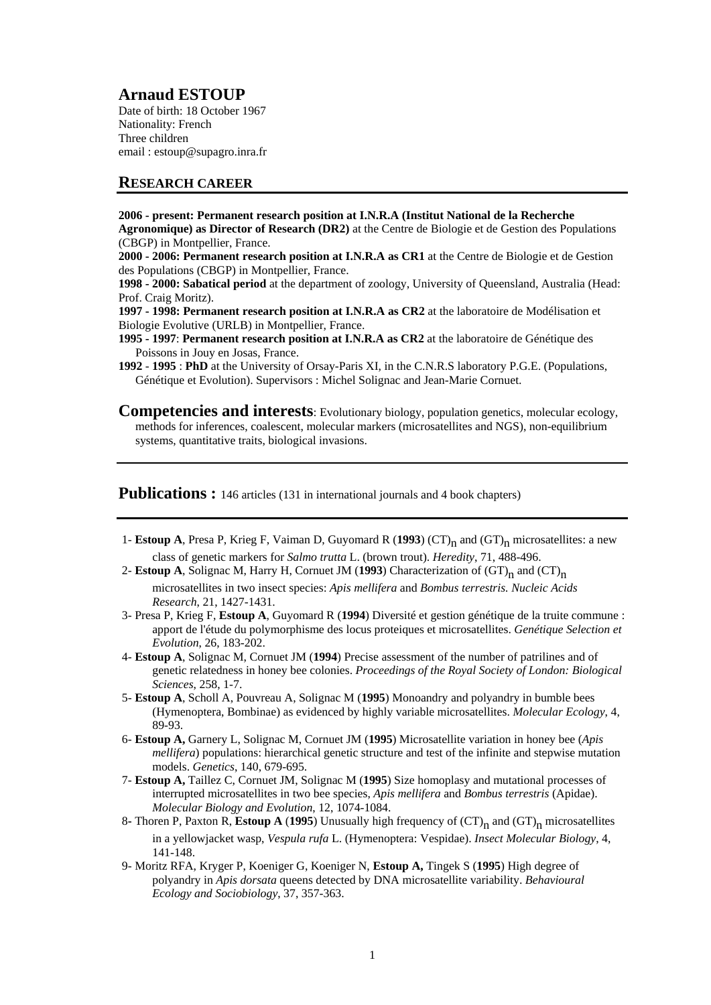# **Arnaud ESTOUP**

Date of birth: 18 October 1967 Nationality: French Three children email : estoup@supagro.inra.fr

## **RESEARCH CAREER**

**2006 - present: Permanent research position at I.N.R.A (Institut National de la Recherche Agronomique) as Director of Research (DR2)** at the Centre de Biologie et de Gestion des Populations (CBGP) in Montpellier, France.

**2000 - 2006: Permanent research position at I.N.R.A as CR1** at the Centre de Biologie et de Gestion des Populations (CBGP) in Montpellier, France.

**1998 - 2000: Sabatical period** at the department of zoology, University of Queensland, Australia (Head: Prof. Craig Moritz).

**1997 - 1998: Permanent research position at I.N.R.A as CR2** at the laboratoire de Modélisation et Biologie Evolutive (URLB) in Montpellier, France.

**1995 - 1997**: **Permanent research position at I.N.R.A as CR2** at the laboratoire de Génétique des Poissons in Jouy en Josas, France.

**1992** - **1995** : **PhD** at the University of Orsay-Paris XI, in the C.N.R.S laboratory P.G.E. (Populations, Génétique et Evolution). Supervisors : Michel Solignac and Jean-Marie Cornuet.

**Competencies and interests:** Evolutionary biology, population genetics, molecular ecology, methods for inferences, coalescent, molecular markers (microsatellites and NGS), non-equilibrium systems, quantitative traits, biological invasions.

**Publications :** 146 articles (131 in international journals and 4 book chapters)

- 1- Estoup A, Presa P, Krieg F, Vaiman D, Guyomard R (1993) (CT)<sub>n</sub> and (GT)<sub>n</sub> microsatellites: a new class of genetic markers for *Salmo trutta* L. (brown trout). *Heredity*, 71, 488-496.
- 2- **Estoup A**, Solignac M, Harry H, Cornuet JM (1993) Characterization of  $(GT)_n$  and  $(CT)_n$ microsatellites in two insect species: *Apis mellifera* and *Bombus terrestris. Nucleic Acids Research*, 21, 1427-1431.
- 3- Presa P, Krieg F, **Estoup A**, Guyomard R (**1994**) Diversité et gestion génétique de la truite commune : apport de l'étude du polymorphisme des locus proteiques et microsatellites. *Genétique Selection et Evolution*, 26, 183-202.
- 4- **Estoup A**, Solignac M, Cornuet JM (**1994**) Precise assessment of the number of patrilines and of genetic relatedness in honey bee colonies. *Proceedings of the Royal Society of London: Biological Sciences*, 258, 1-7.
- 5- **Estoup A**, Scholl A, Pouvreau A, Solignac M (**1995**) Monoandry and polyandry in bumble bees (Hymenoptera, Bombinae) as evidenced by highly variable microsatellites. *Molecular Ecology*, 4, 89-93.
- 6- **Estoup A,** Garnery L, Solignac M, Cornuet JM (**1995**) Microsatellite variation in honey bee (*Apis mellifera*) populations: hierarchical genetic structure and test of the infinite and stepwise mutation models. *Genetics*, 140, 679-695.
- 7- **Estoup A,** Taillez C, Cornuet JM, Solignac M (**1995**) Size homoplasy and mutational processes of interrupted microsatellites in two bee species, *Apis mellifera* and *Bombus terrestris* (Apidae). *Molecular Biology and Evolution*, 12, 1074-1084.
- 8 Thoren P, Paxton R, **Estoup A** (1995) Unusually high frequency of  $(CT)_n$  and  $(GT)_n$  microsatellites in a yellowjacket wasp, *Vespula rufa* L. (Hymenoptera: Vespidae). *Insect Molecular Biology*, 4, 141-148.
- 9- Moritz RFA, Kryger P, Koeniger G, Koeniger N, **Estoup A,** Tingek S (**1995**) High degree of polyandry in *Apis dorsata* queens detected by DNA microsatellite variability. *Behavioural Ecology and Sociobiology*, 37, 357-363.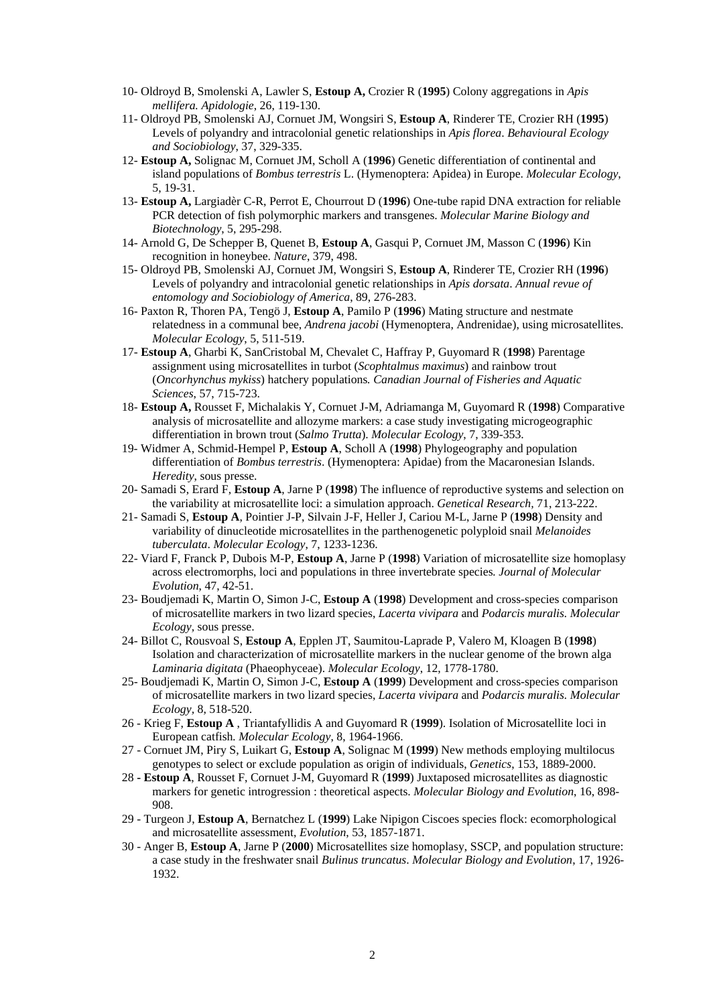- 10- Oldroyd B, Smolenski A, Lawler S, **Estoup A,** Crozier R (**1995**) Colony aggregations in *Apis mellifera. Apidologie*, 26, 119-130.
- 11- Oldroyd PB, Smolenski AJ, Cornuet JM, Wongsiri S, **Estoup A**, Rinderer TE, Crozier RH (**1995**) Levels of polyandry and intracolonial genetic relationships in *Apis florea*. *Behavioural Ecology and Sociobiology*, 37, 329-335.
- 12- **Estoup A,** Solignac M, Cornuet JM, Scholl A (**1996**) Genetic differentiation of continental and island populations of *Bombus terrestris* L. (Hymenoptera: Apidea) in Europe. *Molecular Ecology*, 5, 19-31.
- 13- **Estoup A,** Largiadèr C-R, Perrot E, Chourrout D (**1996**) One-tube rapid DNA extraction for reliable PCR detection of fish polymorphic markers and transgenes. *Molecular Marine Biology and Biotechnology*, 5, 295-298.
- 14- Arnold G, De Schepper B, Quenet B, **Estoup A**, Gasqui P, Cornuet JM, Masson C (**1996**) Kin recognition in honeybee. *Nature*, 379, 498.
- 15- Oldroyd PB, Smolenski AJ, Cornuet JM, Wongsiri S, **Estoup A**, Rinderer TE, Crozier RH (**1996**) Levels of polyandry and intracolonial genetic relationships in *Apis dorsata*. *Annual revue of entomology and Sociobiology of America*, 89, 276-283.
- 16- Paxton R, Thoren PA, Tengö J, **Estoup A**, Pamilo P (**1996**) Mating structure and nestmate relatedness in a communal bee, *Andrena jacobi* (Hymenoptera, Andrenidae), using microsatellites. *Molecular Ecology*, 5, 511-519.
- 17- **Estoup A**, Gharbi K, SanCristobal M, Chevalet C, Haffray P, Guyomard R (**1998**) Parentage assignment using microsatellites in turbot (*Scophtalmus maximus*) and rainbow trout (*Oncorhynchus mykiss*) hatchery populations*. Canadian Journal of Fisheries and Aquatic Sciences*, 57, 715-723.
- 18- **Estoup A,** Rousset F, Michalakis Y, Cornuet J-M, Adriamanga M, Guyomard R (**1998**) Comparative analysis of microsatellite and allozyme markers: a case study investigating microgeographic differentiation in brown trout (*Salmo Trutta*). *Molecular Ecology*, 7, 339-353.
- 19- Widmer A, Schmid-Hempel P, **Estoup A**, Scholl A (**1998**) Phylogeography and population differentiation of *Bombus terrestris*. (Hymenoptera: Apidae) from the Macaronesian Islands. *Heredity*, sous presse.
- 20- Samadi S, Erard F, **Estoup A**, Jarne P (**1998**) The influence of reproductive systems and selection on the variability at microsatellite loci: a simulation approach. *Genetical Research,* 71, 213-222.
- 21- Samadi S, **Estoup A**, Pointier J-P, Silvain J-F, Heller J, Cariou M-L, Jarne P (**1998**) Density and variability of dinucleotide microsatellites in the parthenogenetic polyploid snail *Melanoides tuberculata*. *Molecular Ecology*, 7, 1233-1236.
- 22- Viard F, Franck P, Dubois M-P, **Estoup A**, Jarne P (**1998**) Variation of microsatellite size homoplasy across electromorphs, loci and populations in three invertebrate species*. Journal of Molecular Evolution*, 47, 42-51.
- 23- Boudjemadi K, Martin O, Simon J-C, **Estoup A** (**1998**) Development and cross-species comparison of microsatellite markers in two lizard species, *Lacerta vivipara* and *Podarcis muralis. Molecular Ecology,* sous presse.
- 24- Billot C, Rousvoal S, **Estoup A**, Epplen JT, Saumitou-Laprade P, Valero M, Kloagen B (**1998**) Isolation and characterization of microsatellite markers in the nuclear genome of the brown alga *Laminaria digitata* (Phaeophyceae). *Molecular Ecology*, 12, 1778-1780.
- 25- Boudjemadi K, Martin O, Simon J-C, **Estoup A** (**1999**) Development and cross-species comparison of microsatellite markers in two lizard species, *Lacerta vivipara* and *Podarcis muralis. Molecular Ecology,* 8, 518-520.
- 26 Krieg F, **Estoup A** , Triantafyllidis A and Guyomard R (**1999**). Isolation of Microsatellite loci in European catfish*. Molecular Ecology*, 8, 1964-1966.
- 27 Cornuet JM, Piry S, Luikart G, **Estoup A**, Solignac M (**1999**) New methods employing multilocus genotypes to select or exclude population as origin of individuals, *Genetics*, 153, 1889-2000.
- 28 **Estoup A**, Rousset F, Cornuet J-M, Guyomard R (**1999**) Juxtaposed microsatellites as diagnostic markers for genetic introgression : theoretical aspects. *Molecular Biology and Evolution*, 16, 898- 908.
- 29 Turgeon J, **Estoup A**, Bernatchez L (**1999**) Lake Nipigon Ciscoes species flock: ecomorphological and microsatellite assessment, *Evolution*, 53, 1857-1871.
- 30 Anger B, **Estoup A**, Jarne P (**2000**) Microsatellites size homoplasy, SSCP, and population structure: a case study in the freshwater snail *Bulinus truncatus*. *Molecular Biology and Evolution*, 17, 1926- 1932.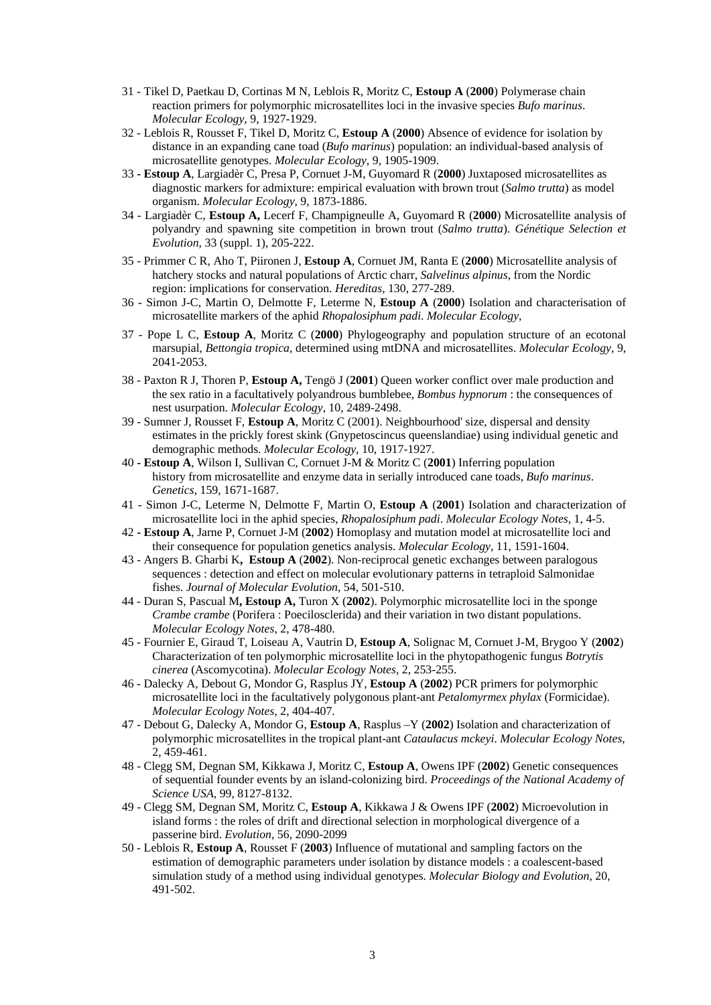- 31 Tikel D, Paetkau D, Cortinas M N, Leblois R, Moritz C, **Estoup A** (**2000**) Polymerase chain reaction primers for polymorphic microsatellites loci in the invasive species *Bufo marinus*. *Molecular Ecology*, 9, 1927-1929.
- 32 Leblois R, Rousset F, Tikel D, Moritz C, **Estoup A** (**2000**) Absence of evidence for isolation by distance in an expanding cane toad (*Bufo marinus*) population: an individual-based analysis of microsatellite genotypes. *Molecular Ecology*, 9, 1905-1909.
- 33 **Estoup A**, Largiadèr C, Presa P, Cornuet J-M, Guyomard R (**2000**) Juxtaposed microsatellites as diagnostic markers for admixture: empirical evaluation with brown trout (*Salmo trutta*) as model organism. *Molecular Ecology*, 9, 1873-1886.
- 34 Largiadèr C, **Estoup A,** Lecerf F, Champigneulle A, Guyomard R (**2000**) Microsatellite analysis of polyandry and spawning site competition in brown trout (*Salmo trutta*). *Génétique Selection et Evolution*, 33 (suppl. 1), 205-222.
- 35 Primmer C R, Aho T, Piironen J, **Estoup A**, Cornuet JM, Ranta E (**2000**) Microsatellite analysis of hatchery stocks and natural populations of Arctic charr, *Salvelinus alpinus*, from the Nordic region: implications for conservation. *Hereditas*, 130, 277-289.
- 36 Simon J-C, Martin O, Delmotte F, Leterme N, **Estoup A** (**2000**) Isolation and characterisation of microsatellite markers of the aphid *Rhopalosiphum padi*. *Molecular Ecology*,
- 37 Pope L C, **Estoup A**, Moritz C (**2000**) Phylogeography and population structure of an ecotonal marsupial, *Bettongia tropica,* determined using mtDNA and microsatellites. *Molecular Ecology*, 9, 2041-2053.
- 38 Paxton R J, Thoren P, **Estoup A,** Tengö J (**2001**) Queen worker conflict over male production and the sex ratio in a facultatively polyandrous bumblebee, *Bombus hypnorum* : the consequences of nest usurpation. *Molecular Ecology*, 10, 2489-2498.
- 39 Sumner J, Rousset F, **Estoup A**, Moritz C (2001). Neighbourhood' size, dispersal and density estimates in the prickly forest skink (Gnypetoscincus queenslandiae) using individual genetic and demographic methods. *Molecular Ecology*, 10, 1917-1927.
- 40 **Estoup A**, Wilson I, Sullivan C, Cornuet J-M & Moritz C (**2001**) Inferring population history from microsatellite and enzyme data in serially introduced cane toads, *Bufo marinus*. *Genetics*, 159, 1671-1687.
- 41 Simon J-C, Leterme N, Delmotte F, Martin O, **Estoup A** (**2001**) Isolation and characterization of microsatellite loci in the aphid species, *Rhopalosiphum padi*. *Molecular Ecology Notes*, 1, 4-5.
- 42 **Estoup A**, Jarne P, Cornuet J-M (**2002**) Homoplasy and mutation model at microsatellite loci and their consequence for population genetics analysis. *Molecular Ecology*, 11, 1591-1604.
- 43 Angers B. Gharbi K**, Estoup A** (**2002**). Non-reciprocal genetic exchanges between paralogous sequences : detection and effect on molecular evolutionary patterns in tetraploid Salmonidae fishes. *Journal of Molecular Evolution*, 54, 501-510.
- 44 Duran S, Pascual M**, Estoup A,** Turon X (**2002**). Polymorphic microsatellite loci in the sponge *Crambe crambe* (Porifera : Poecilosclerida) and their variation in two distant populations. *Molecular Ecology Notes,* 2, 478-480.
- 45 Fournier E, Giraud T, Loiseau A, Vautrin D, **Estoup A**, Solignac M, Cornuet J-M, Brygoo Y (**2002**) Characterization of ten polymorphic microsatellite loci in the phytopathogenic fungus *Botrytis cinerea* (Ascomycotina). *Molecular Ecology Notes,* 2, 253-255.
- 46 Dalecky A, Debout G, Mondor G, Rasplus JY, **Estoup A** (**2002**) PCR primers for polymorphic microsatellite loci in the facultatively polygonous plant-ant *Petalomyrmex phylax* (Formicidae). *Molecular Ecology Notes,* 2, 404-407.
- 47 Debout G, Dalecky A, Mondor G, **Estoup A**, Rasplus –Y (**2002**) Isolation and characterization of polymorphic microsatellites in the tropical plant-ant *Cataulacus mckeyi*. *Molecular Ecology Notes,* 2, 459-461.
- 48 Clegg SM, Degnan SM, Kikkawa J, Moritz C, **Estoup A**, Owens IPF (**2002**) Genetic consequences of sequential founder events by an island-colonizing bird. *Proceedings of the National Academy of Science USA,* 99, 8127-8132.
- 49 Clegg SM, Degnan SM, Moritz C, **Estoup A**, Kikkawa J & Owens IPF (**2002**) Microevolution in island forms : the roles of drift and directional selection in morphological divergence of a passerine bird. *Evolution*, 56, 2090-2099
- 50 Leblois R, **Estoup A**, Rousset F (**2003**) Influence of mutational and sampling factors on the estimation of demographic parameters under isolation by distance models : a coalescent-based simulation study of a method using individual genotypes. *Molecular Biology and Evolution*, 20, 491-502.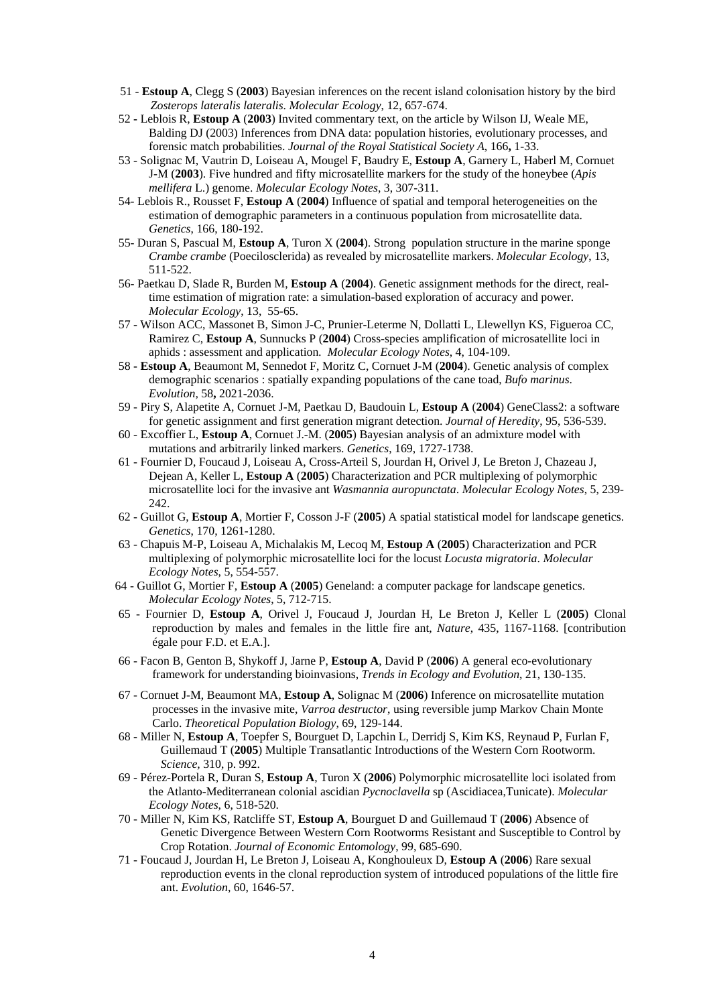- 51 **Estoup A**, Clegg S (**2003**) Bayesian inferences on the recent island colonisation history by the bird *Zosterops lateralis lateralis*. *Molecular Ecology*, 12, 657-674.
- 52Leblois R, **Estoup A** (**2003**) Invited commentary text, on the article by Wilson IJ, Weale ME, Balding DJ (2003) Inferences from DNA data: population histories, evolutionary processes, and forensic match probabilities. *Journal of the Royal Statistical Society A*, 166**,** 1-33.
- 53 Solignac M, Vautrin D, Loiseau A, Mougel F, Baudry E, **Estoup A**, Garnery L, Haberl M, Cornuet J-M (**2003**). Five hundred and fifty microsatellite markers for the study of the honeybee (*Apis mellifera* L.) genome. *Molecular Ecology Notes*, 3, 307-311.
- 54- Leblois R., Rousset F, **Estoup A** (**2004**) Influence of spatial and temporal heterogeneities on the estimation of demographic parameters in a continuous population from microsatellite data. *Genetics*, 166, 180-192.
- 55- Duran S, Pascual M, **Estoup A**, Turon X (**2004**). Strong population structure in the marine sponge *Crambe crambe* (Poecilosclerida) as revealed by microsatellite markers. *Molecular Ecology*, 13, 511-522.
- 56- Paetkau D, Slade R, Burden M, **Estoup A** (**2004**). Genetic assignment methods for the direct, realtime estimation of migration rate: a simulation-based exploration of accuracy and power. *Molecular Ecology*, 13, 55-65.
- 57 Wilson ACC, Massonet B, Simon J-C, Prunier-Leterme N, Dollatti L, Llewellyn KS, Figueroa CC, Ramirez C, **Estoup A**, Sunnucks P (**2004**) Cross-species amplification of microsatellite loci in aphids : assessment and application*. Molecular Ecology Notes*, 4, 104-109.
- 58  **Estoup A**, Beaumont M, Sennedot F, Moritz C, Cornuet J-M (**2004**). Genetic analysis of complex demographic scenarios : spatially expanding populations of the cane toad, *Bufo marinus*. *Evolution,* 58**,** 2021-2036.
- 59 Piry S, Alapetite A, Cornuet J-M, Paetkau D, Baudouin L, **Estoup A** (**2004**) GeneClass2: a software for genetic assignment and first generation migrant detection. *Journal of Heredity*, 95, 536-539.
- 60 Excoffier L, **Estoup A**, Cornuet J.-M. (**2005**) Bayesian analysis of an admixture model with mutations and arbitrarily linked markers. *Genetics*, 169, 1727-1738.
- 61 Fournier D, Foucaud J, Loiseau A, Cross-Arteil S, Jourdan H, Orivel J, Le Breton J, Chazeau J, Dejean A, Keller L, **Estoup A** (**2005**) Characterization and PCR multiplexing of polymorphic microsatellite loci for the invasive ant *Wasmannia auropunctata*. *Molecular Ecology Notes*, 5, 239- 242.
- 62 Guillot G, **Estoup A**, Mortier F, Cosson J-F (**2005**) A spatial statistical model for landscape genetics. *Genetics*, 170, 1261-1280.
- 63 Chapuis M-P, Loiseau A, Michalakis M, Lecoq M, **Estoup A** (**2005**) Characterization and PCR multiplexing of polymorphic microsatellite loci for the locust *Locusta migratoria*. *Molecular Ecology Notes*, 5, 554-557.
- 64 Guillot G, Mortier F, **Estoup A** (**2005**) Geneland: a computer package for landscape genetics. *Molecular Ecology Notes*, 5, 712-715.
- 65 Fournier D, **Estoup A**, Orivel J, Foucaud J, Jourdan H, Le Breton J, Keller L (**2005**) Clonal reproduction by males and females in the little fire ant, *Nature*, 435, 1167-1168. [contribution égale pour F.D. et E.A.].
- 66 Facon B, Genton B, Shykoff J, Jarne P, **Estoup A**, David P (**2006**) A general eco-evolutionary framework for understanding bioinvasions, *Trends in Ecology and Evolution*, 21, 130-135.
- 67 Cornuet J-M, Beaumont MA, **Estoup A**, Solignac M (**2006**) Inference on microsatellite mutation processes in the invasive mite, *Varroa destructor*, using reversible jump Markov Chain Monte Carlo. *Theoretical Population Biology*, 69, 129-144.
- 68 Miller N, **Estoup A**, Toepfer S, Bourguet D, Lapchin L, Derridj S, Kim KS, Reynaud P, Furlan F, Guillemaud T (**2005**) Multiple Transatlantic Introductions of the Western Corn Rootworm. *Science,* 310, p. 992.
- 69 Pérez-Portela R, Duran S, **Estoup A**, Turon X (**2006**) Polymorphic microsatellite loci isolated from the Atlanto-Mediterranean colonial ascidian *Pycnoclavella* sp (Ascidiacea,Tunicate). *Molecular Ecology Notes*, 6, 518-520.
- 70 Miller N, Kim KS, Ratcliffe ST, **Estoup A**, Bourguet D and Guillemaud T (**2006**) Absence of Genetic Divergence Between Western Corn Rootworms Resistant and Susceptible to Control by Crop Rotation. *Journal of Economic Entomology*, 99, 685-690.
- 71 Foucaud J, Jourdan H, Le Breton J, Loiseau A, Konghouleux D, **Estoup A** (**2006**) Rare sexual reproduction events in the clonal reproduction system of introduced populations of the little fire ant. *Evolution*, 60, 1646-57.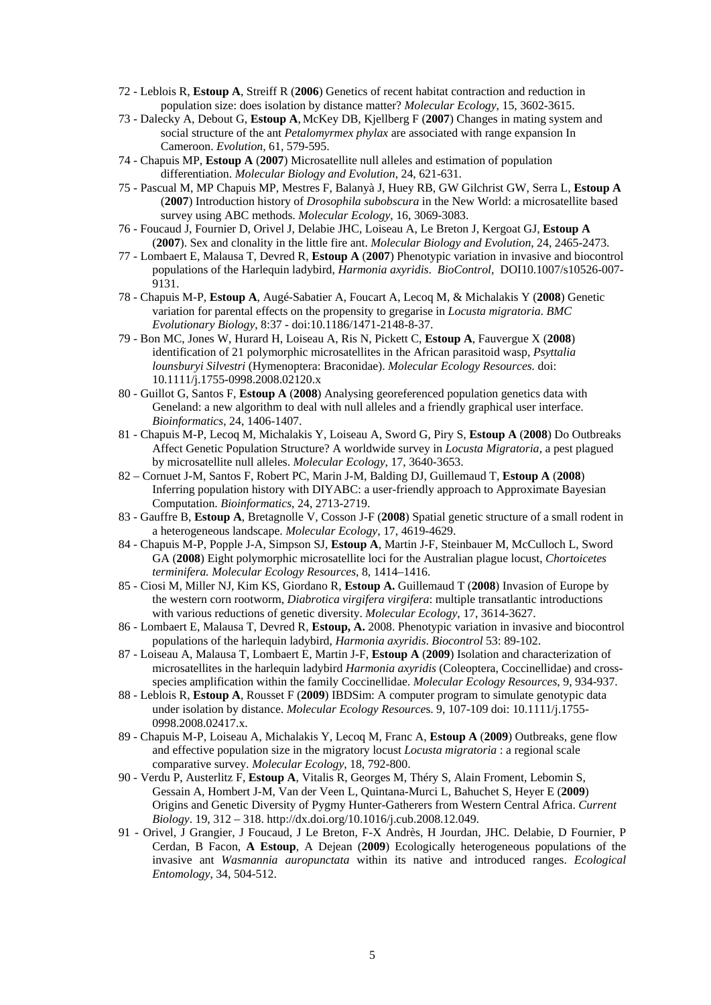- 72 Leblois R, **Estoup A**, Streiff R (**2006**) Genetics of recent habitat contraction and reduction in population size: does isolation by distance matter? *Molecular Ecology*, 15, 3602-3615.
- 73 Dalecky A, Debout G, **Estoup A**, McKey DB, Kjellberg F (**2007**) Changes in mating system and social structure of the ant *Petalomyrmex phylax* are associated with range expansion In Cameroon. *Evolution*, 61, 579-595.
- 74 Chapuis MP, **Estoup A** (**2007**) Microsatellite null alleles and estimation of population differentiation. *Molecular Biology and Evolution*, 24, 621-631.
- 75 Pascual M, MP Chapuis MP, Mestres F, Balanyà J, Huey RB, GW Gilchrist GW, Serra L, **Estoup A** (**2007**) Introduction history of *Drosophila subobscura* in the New World: a microsatellite based survey using ABC methods. *Molecular Ecology*, 16, 3069-3083.
- 76 Foucaud J, Fournier D, Orivel J, Delabie JHC, Loiseau A, Le Breton J, Kergoat GJ, **Estoup A** (**2007**). Sex and clonality in the little fire ant. *Molecular Biology and Evolution*, 24, 2465-2473.
- 77 Lombaert E, Malausa T, Devred R, **Estoup A** (**2007**) Phenotypic variation in invasive and biocontrol populations of the Harlequin ladybird, *Harmonia axyridis*. *BioControl*, DOI10.1007/s10526-007- 9131.
- 78 Chapuis M-P, **Estoup A**, Augé-Sabatier A, Foucart A, Lecoq M, & Michalakis Y (**2008**) Genetic variation for parental effects on the propensity to gregarise in *Locusta migratoria*. *BMC Evolutionary Biology*, 8:37 - doi:10.1186/1471-2148-8-37.
- 79 Bon MC, Jones W, Hurard H, Loiseau A, Ris N, Pickett C, **Estoup A**, Fauvergue X (**2008**) identification of 21 polymorphic microsatellites in the African parasitoid wasp, *Psyttalia lounsburyi Silvestri* (Hymenoptera: Braconidae). *Molecular Ecology Resources.* doi: 10.1111/j.1755-0998.2008.02120.x
- 80 Guillot G, Santos F, **Estoup A** (**2008**) Analysing georeferenced population genetics data with Geneland: a new algorithm to deal with null alleles and a friendly graphical user interface. *Bioinformatics*, 24, 1406-1407.
- 81 Chapuis M-P, Lecoq M, Michalakis Y, Loiseau A, Sword G, Piry S, **Estoup A** (**2008**) Do Outbreaks Affect Genetic Population Structure? A worldwide survey in *Locusta Migratoria*, a pest plagued by microsatellite null alleles. *Molecular Ecology*, 17, 3640-3653.
- 82 Cornuet J-M, Santos F, Robert PC, Marin J-M, Balding DJ, Guillemaud T, **Estoup A** (**2008**) Inferring population history with DIYABC: a user-friendly approach to Approximate Bayesian Computation. *Bioinformatics*, 24, 2713-2719.
- 83 Gauffre B, **Estoup A**, Bretagnolle V, Cosson J-F (**2008**) Spatial genetic structure of a small rodent in a heterogeneous landscape. *Molecular Ecology*, 17, 4619-4629.
- 84 Chapuis M-P, Popple J-A, Simpson SJ, **Estoup A**, Martin J-F, Steinbauer M, McCulloch L, Sword GA (**2008**) Eight polymorphic microsatellite loci for the Australian plague locust, *Chortoicetes terminifera. Molecular Ecology Resources*, 8, 1414–1416.
- 85 Ciosi M, Miller NJ, Kim KS, Giordano R, **Estoup A.** Guillemaud T (**2008**) Invasion of Europe by the western corn rootworm, *Diabrotica virgifera virgifera*: multiple transatlantic introductions with various reductions of genetic diversity. *Molecular Ecology*, 17, 3614-3627.
- 86 Lombaert E, Malausa T, Devred R, **Estoup, A.** 2008. Phenotypic variation in invasive and biocontrol populations of the harlequin ladybird, *Harmonia axyridis*. *Biocontrol* 53: 89-102.
- 87 Loiseau A, Malausa T, Lombaert E, Martin J-F, **Estoup A** (**2009**) Isolation and characterization of microsatellites in the harlequin ladybird *Harmonia axyridis* (Coleoptera, Coccinellidae) and crossspecies amplification within the family Coccinellidae. *Molecular Ecology Resources*, 9, 934-937.
- 88 Leblois R, **Estoup A**, Rousset F (**2009**) IBDSim: A computer program to simulate genotypic data under isolation by distance. *Molecular Ecology Resource*s. 9, 107-109 doi: 10.1111/j.1755- 0998.2008.02417.x.
- 89 Chapuis M-P, Loiseau A, Michalakis Y, Lecoq M, Franc A, **Estoup A** (**2009**) Outbreaks, gene flow and effective population size in the migratory locust *Locusta migratoria* : a regional scale comparative survey. *Molecular Ecology*, 18, 792-800.
- 90 Verdu P, Austerlitz F, **Estoup A**, Vitalis R, Georges M, Théry S, Alain Froment, Lebomin S, Gessain A, Hombert J-M, Van der Veen L, Quintana-Murci L, Bahuchet S, Heyer E (**2009**) Origins and Genetic Diversity of Pygmy Hunter-Gatherers from Western Central Africa. *Current Biology*. 19, 312 – 318. http://dx.doi.org/10.1016/j.cub.2008.12.049.
- 91 Orivel, J Grangier, J Foucaud, J Le Breton, F-X Andrès, H Jourdan, JHC. Delabie, D Fournier, P Cerdan, B Facon, **A Estoup**, A Dejean (**2009**) Ecologically heterogeneous populations of the invasive ant *Wasmannia auropunctata* within its native and introduced ranges. *Ecological Entomology*, 34, 504-512.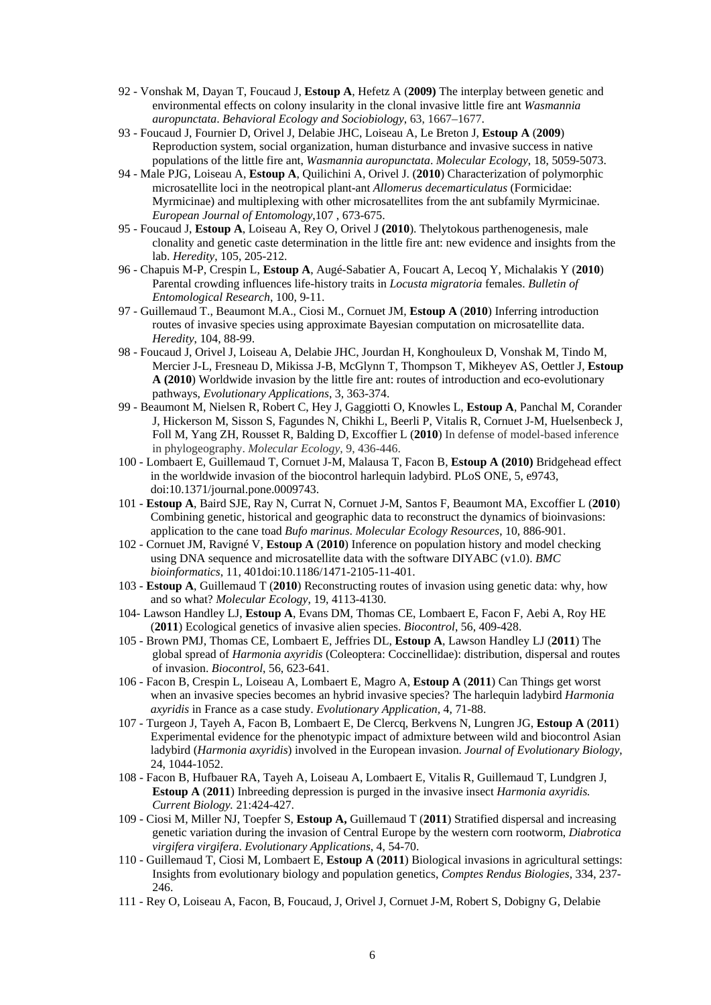- 92 Vonshak M, Dayan T, Foucaud J, **Estoup A**, Hefetz A (**2009)** The interplay between genetic and environmental effects on colony insularity in the clonal invasive little fire ant *Wasmannia auropunctata*. *Behavioral Ecology and Sociobiology*, 63, 1667–1677.
- 93 Foucaud J, Fournier D, Orivel J, Delabie JHC, Loiseau A, Le Breton J, **Estoup A** (**2009**) Reproduction system, social organization, human disturbance and invasive success in native populations of the little fire ant, *Wasmannia auropunctata*. *Molecular Ecology*, 18, 5059-5073.
- 94 Male PJG, Loiseau A, **Estoup A**, Quilichini A, Orivel J. (**2010**) Characterization of polymorphic microsatellite loci in the neotropical plant-ant *Allomerus decemarticulatus* (Formicidae: Myrmicinae) and multiplexing with other microsatellites from the ant subfamily Myrmicinae. *European Journal of Entomology*,107 , 673-675.
- 95 Foucaud J, **Estoup A**, Loiseau A, Rey O, Orivel J **(2010**). Thelytokous parthenogenesis, male clonality and genetic caste determination in the little fire ant: new evidence and insights from the lab. *Heredity*, 105, 205-212.
- 96 Chapuis M-P, Crespin L, **Estoup A**, Augé-Sabatier A, Foucart A, Lecoq Y, Michalakis Y (**2010**) Parental crowding influences life-history traits in *Locusta migratoria* females. *Bulletin of Entomological Research*, 100, 9-11.
- 97 Guillemaud T., Beaumont M.A., Ciosi M., Cornuet JM, **Estoup A** (**2010**) Inferring introduction routes of invasive species using approximate Bayesian computation on microsatellite data. *Heredity*, 104, 88-99.
- 98 Foucaud J, Orivel J, Loiseau A, Delabie JHC, Jourdan H, Konghouleux D, Vonshak M, Tindo M, Mercier J-L, Fresneau D, Mikissa J-B, McGlynn T, Thompson T, Mikheyev AS, Oettler J, **Estoup A (2010**) Worldwide invasion by the little fire ant: routes of introduction and eco-evolutionary pathways, *Evolutionary Applications*, 3, 363-374.
- 99 Beaumont M, Nielsen R, Robert C, Hey J, Gaggiotti O, Knowles L, **Estoup A**, Panchal M, Corander J, Hickerson M, Sisson S, Fagundes N, Chikhi L, Beerli P, Vitalis R, Cornuet J-M, Huelsenbeck J, Foll M, Yang ZH, Rousset R, Balding D, Excoffier L (**2010**) In defense of model-based inference in phylogeography. *Molecular Ecology*, 9, 436-446.
- 100 Lombaert E, Guillemaud T, Cornuet J-M, Malausa T, Facon B, **Estoup A (2010)** Bridgehead effect in the worldwide invasion of the biocontrol harlequin ladybird. PLoS ONE, 5, e9743, doi:10.1371/journal.pone.0009743.
- 101 **Estoup A**, Baird SJE, Ray N, Currat N, Cornuet J-M, Santos F, Beaumont MA, Excoffier L (**2010**) Combining genetic, historical and geographic data to reconstruct the dynamics of bioinvasions: application to the cane toad *Bufo marinus*. *Molecular Ecology Resources*, 10, 886-901.
- 102 Cornuet JM, Ravigné V, **Estoup A** (**2010**) Inference on population history and model checking using DNA sequence and microsatellite data with the software DIYABC (v1.0). *BMC bioinformatics*, 11, 401doi:10.1186/1471-2105-11-401.
- 103 **Estoup A**, Guillemaud T (**2010**) Reconstructing routes of invasion using genetic data: why, how and so what? *Molecular Ecology*, 19, 4113-4130.
- 104- Lawson Handley LJ, **Estoup A**, Evans DM, Thomas CE, Lombaert E, Facon F, Aebi A, Roy HE (**2011**) Ecological genetics of invasive alien species. *Biocontrol*, 56, 409-428.
- 105 Brown PMJ, Thomas CE, Lombaert E, Jeffries DL, **Estoup A**, Lawson Handley LJ (**2011**) The global spread of *Harmonia axyridis* (Coleoptera: Coccinellidae): distribution, dispersal and routes of invasion. *Biocontrol*, 56, 623-641.
- 106 Facon B, Crespin L, Loiseau A, Lombaert E, Magro A, **Estoup A** (**2011**) Can Things get worst when an invasive species becomes an hybrid invasive species? The harlequin ladybird *Harmonia axyridis* in France as a case study. *Evolutionary Application,* 4, 71-88.
- 107 Turgeon J, Tayeh A, Facon B, Lombaert E, De Clercq, Berkvens N, Lungren JG, **Estoup A** (**2011**) Experimental evidence for the phenotypic impact of admixture between wild and biocontrol Asian ladybird (*Harmonia axyridis*) involved in the European invasion. *Journal of Evolutionary Biology*, 24, 1044-1052.
- 108 Facon B, Hufbauer RA, Tayeh A, Loiseau A, Lombaert E, Vitalis R, Guillemaud T, Lundgren J, **Estoup A** (**2011**) Inbreeding depression is purged in the invasive insect *Harmonia axyridis. Current Biology.* 21:424-427.
- 109 Ciosi M, Miller NJ, Toepfer S, **Estoup A,** Guillemaud T (**2011**) Stratified dispersal and increasing genetic variation during the invasion of Central Europe by the western corn rootworm, *Diabrotica virgifera virgifera*. *Evolutionary Applications*, 4, 54-70.
- 110 Guillemaud T, Ciosi M, Lombaert E, **Estoup A** (**2011**) Biological invasions in agricultural settings: Insights from evolutionary biology and population genetics, *Comptes Rendus Biologies,* 334, 237- 246.
- 111 Rey O, Loiseau A, Facon, B, Foucaud, J, Orivel J, Cornuet J-M, Robert S, Dobigny G, Delabie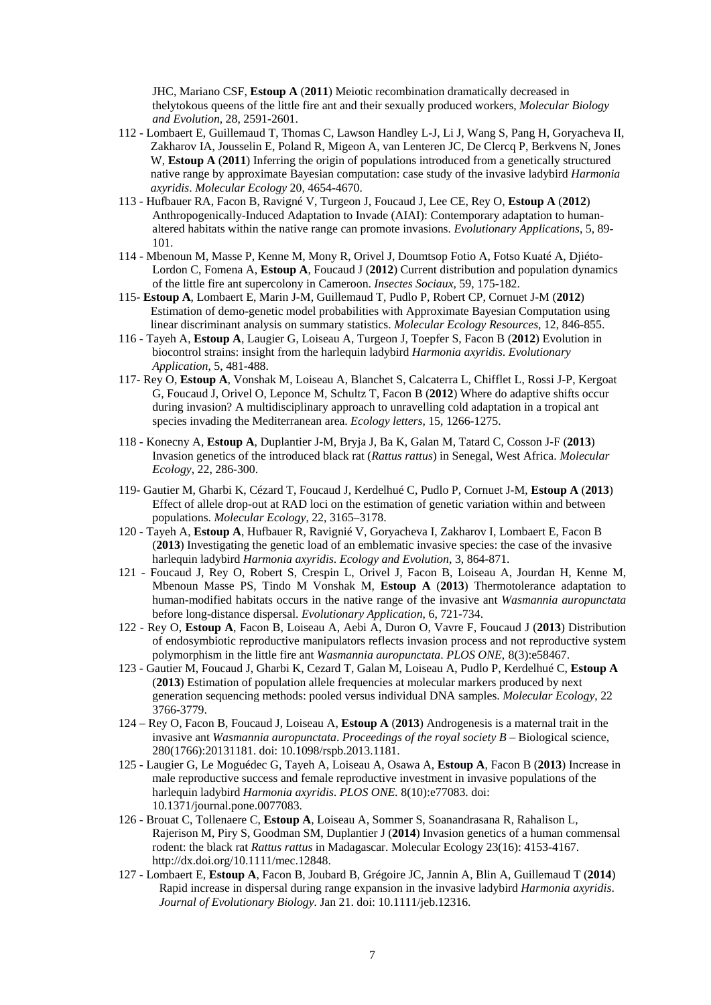JHC, Mariano CSF, **Estoup A** (**2011**) Meiotic recombination dramatically decreased in thelytokous queens of the little fire ant and their sexually produced workers, *Molecular Biology and Evolution,* 28, 2591-2601.

- 112 Lombaert E, Guillemaud T, Thomas C, Lawson Handley L-J, Li J, Wang S, Pang H, Goryacheva II, Zakharov IA, Jousselin E, Poland R, Migeon A, van Lenteren JC, De Clercq P, Berkvens N, Jones W, **Estoup A** (**2011**) Inferring the origin of populations introduced from a genetically structured native range by approximate Bayesian computation: case study of the invasive ladybird *Harmonia axyridis*. *Molecular Ecology* 20, 4654-4670.
- 113 Hufbauer RA, Facon B, Ravigné V, Turgeon J, Foucaud J, Lee CE, Rey O, **Estoup A** (**2012**) Anthropogenically-Induced Adaptation to Invade (AIAI): Contemporary adaptation to humanaltered habitats within the native range can promote invasions. *Evolutionary Applications*, 5, 89- 101.
- 114 Mbenoun M, Masse P, Kenne M, Mony R, Orivel J, Doumtsop Fotio A, Fotso Kuaté A, Djiéto-Lordon C, Fomena A, **Estoup A**, Foucaud J (**2012**) Current distribution and population dynamics of the little fire ant supercolony in Cameroon. *Insectes Sociaux*, 59, 175-182.
- 115- **Estoup A**, Lombaert E, Marin J-M, Guillemaud T, Pudlo P, Robert CP, Cornuet J-M (**2012**) Estimation of demo-genetic model probabilities with Approximate Bayesian Computation using linear discriminant analysis on summary statistics. *Molecular Ecology Resources*, 12, 846-855.
- 116 Tayeh A, **Estoup A**, Laugier G, Loiseau A, Turgeon J, Toepfer S, Facon B (**2012**) Evolution in biocontrol strains: insight from the harlequin ladybird *Harmonia axyridis*. *Evolutionary Application*, 5, 481-488.
- 117- Rey O, **Estoup A**, Vonshak M, Loiseau A, Blanchet S, Calcaterra L, Chifflet L, Rossi J-P, Kergoat G, Foucaud J, Orivel O, Leponce M, Schultz T, Facon B (**2012**) Where do adaptive shifts occur during invasion? A multidisciplinary approach to unravelling cold adaptation in a tropical ant species invading the Mediterranean area. *Ecology letters*, 15, 1266-1275.
- 118 Konecny A, **Estoup A**, Duplantier J-M, Bryja J, Ba K, Galan M, Tatard C, Cosson J-F (**2013**) Invasion genetics of the introduced black rat (*Rattus rattus*) in Senegal, West Africa. *Molecular Ecology*, 22, 286-300.
- 119- Gautier M, Gharbi K, Cézard T, Foucaud J, Kerdelhué C, Pudlo P, Cornuet J-M, **Estoup A** (**2013**) Effect of allele drop-out at RAD loci on the estimation of genetic variation within and between populations. *Molecular Ecology*, 22, 3165–3178.
- 120 Tayeh A, **Estoup A**, Hufbauer R, Ravignié V, Goryacheva I, Zakharov I, Lombaert E, Facon B (**2013**) Investigating the genetic load of an emblematic invasive species: the case of the invasive harlequin ladybird *Harmonia axyridis*. *Ecology and Evolution*, 3, 864-871.
- 121 Foucaud J, Rey O, Robert S, Crespin L, Orivel J, Facon B, Loiseau A, Jourdan H, Kenne M, Mbenoun Masse PS, Tindo M Vonshak M, **Estoup A** (**2013**) Thermotolerance adaptation to human-modified habitats occurs in the native range of the invasive ant *Wasmannia auropunctata* before long-distance dispersal. *Evolutionary Application*, 6, 721-734.
- 122 Rey O, **Estoup A**, Facon B, Loiseau A, Aebi A, Duron O, Vavre F, Foucaud J (**2013**) Distribution of endosymbiotic reproductive manipulators reflects invasion process and not reproductive system polymorphism in the little fire ant *Wasmannia auropunctata*. *PLOS ONE*, 8(3):e58467.
- 123 Gautier M, Foucaud J, Gharbi K, Cezard T, Galan M, Loiseau A, Pudlo P, Kerdelhué C, **Estoup A** (**2013**) Estimation of population allele frequencies at molecular markers produced by next generation sequencing methods: pooled versus individual DNA samples. *Molecular Ecology*, 22 3766-3779.
- 124 Rey O, Facon B, Foucaud J, Loiseau A, **Estoup A** (**2013**) Androgenesis is a maternal trait in the invasive ant *Wasmannia auropunctata*. *Proceedings of the royal society B* – Biological science, 280(1766):20131181. doi: 10.1098/rspb.2013.1181.
- 125 Laugier G, Le Moguédec G, Tayeh A, Loiseau A, Osawa A, **Estoup A**, Facon B (**2013**) Increase in male reproductive success and female reproductive investment in invasive populations of the harlequin ladybird *Harmonia axyridis*. *PLOS ONE.* 8(10):e77083. doi: 10.1371/journal.pone.0077083.
- 126 Brouat C, Tollenaere C, **Estoup A**, Loiseau A, Sommer S, Soanandrasana R, Rahalison L, Rajerison M, Piry S, Goodman SM, Duplantier J (**2014**) Invasion genetics of a human commensal rodent: the black rat *Rattus rattus* in Madagascar. Molecular Ecology 23(16): 4153-4167. http://dx.doi.org/10.1111/mec.12848.
- 127 Lombaert E, **Estoup A**, Facon B, Joubard B, Grégoire JC, Jannin A, Blin A, Guillemaud T (**2014**) Rapid increase in dispersal during range expansion in the invasive ladybird *Harmonia axyridis*. *Journal of Evolutionary Biology.* Jan 21. doi: 10.1111/jeb.12316.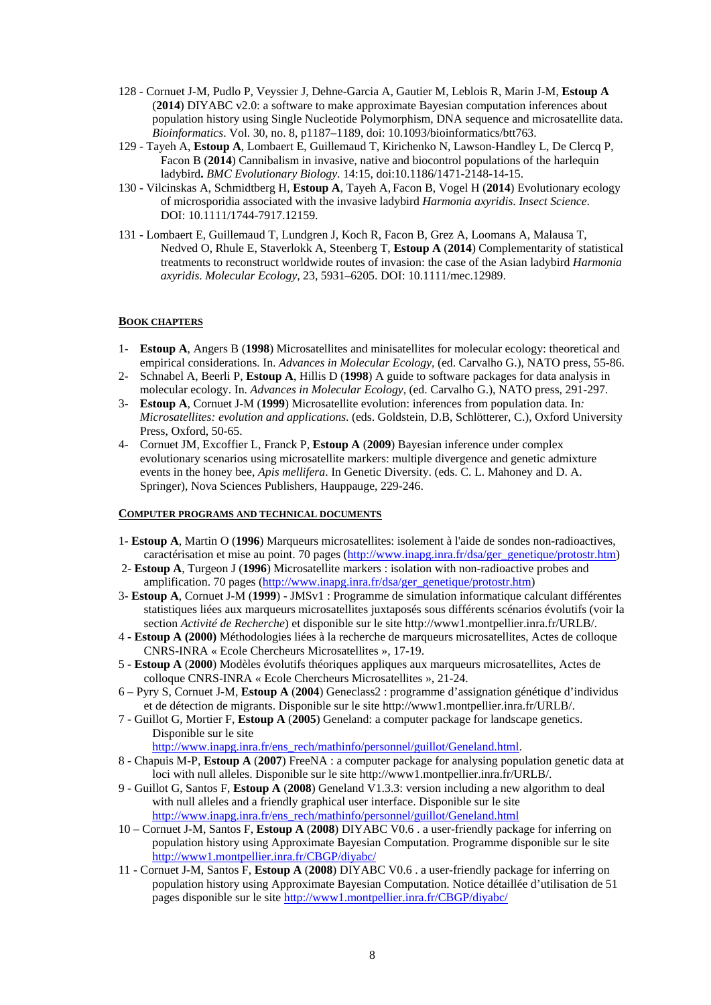- 128 Cornuet J-M, Pudlo P, Veyssier J, Dehne-Garcia A, Gautier M, Leblois R, Marin J-M, **Estoup A** (**2014**) DIYABC v2.0: a software to make approximate Bayesian computation inferences about population history using Single Nucleotide Polymorphism, DNA sequence and microsatellite data. *Bioinformatics*. Vol. 30, no. 8, p1187–1189, doi: 10.1093/bioinformatics/btt763.
- 129 Tayeh A, **Estoup A**, Lombaert E, Guillemaud T, Kirichenko N, Lawson-Handley L, De Clercq P, Facon B (**2014**) Cannibalism in invasive, native and biocontrol populations of the harlequin ladybird**.** *BMC Evolutionary Biology*. 14:15, doi:10.1186/1471-2148-14-15.
- 130 Vilcinskas A, Schmidtberg H, **Estoup A**, Tayeh A, Facon B, Vogel H (**2014**) Evolutionary ecology of microsporidia associated with the invasive ladybird *Harmonia axyridis*. *Insect Science*. DOI: 10.1111/1744-7917.12159.
- 131 Lombaert E, Guillemaud T, Lundgren J, Koch R, Facon B, Grez A, Loomans A, Malausa T, Nedved O, Rhule E, Staverlokk A, Steenberg T, **Estoup A** (**2014**) Complementarity of statistical treatments to reconstruct worldwide routes of invasion: the case of the Asian ladybird *Harmonia axyridis*. *Molecular Ecology*, 23, 5931–6205. DOI: 10.1111/mec.12989.

### **BOOK CHAPTERS**

- 1- **Estoup A**, Angers B (**1998**) Microsatellites and minisatellites for molecular ecology: theoretical and empirical considerations. In. *Advances in Molecular Ecology,* (ed. Carvalho G.), NATO press, 55-86.
- 2- Schnabel A, Beerli P, **Estoup A**, Hillis D (**1998**) A guide to software packages for data analysis in molecular ecology. In. *Advances in Molecular Ecology*, (ed. Carvalho G.), NATO press, 291-297.
- 3- **Estoup A**, Cornuet J-M (**1999**) Microsatellite evolution: inferences from population data. In*: Microsatellites: evolution and applications*. (eds. Goldstein, D.B, Schlötterer, C.), Oxford University Press, Oxford, 50-65.
- 4- Cornuet JM, Excoffier L, Franck P, **Estoup A** (**2009**) Bayesian inference under complex evolutionary scenarios using microsatellite markers: multiple divergence and genetic admixture events in the honey bee, *Apis mellifera*. In Genetic Diversity. (eds. C. L. Mahoney and D. A. Springer), Nova Sciences Publishers, Hauppauge, 229-246.

#### **COMPUTER PROGRAMS AND TECHNICAL DOCUMENTS**

- 1- **Estoup A**, Martin O (**1996**) Marqueurs microsatellites: isolement à l'aide de sondes non-radioactives, caractérisation et mise au point. 70 pages (http://www.inapg.inra.fr/dsa/ger\_genetique/protostr.htm)
- 2- **Estoup A**, Turgeon J (**1996**) Microsatellite markers : isolation with non-radioactive probes and amplification. 70 pages (http://www.inapg.inra.fr/dsa/ger\_genetique/protostr.htm)
- 3- **Estoup A**, Cornuet J-M (**1999**) JMSv1 : Programme de simulation informatique calculant différentes statistiques liées aux marqueurs microsatellites juxtaposés sous différents scénarios évolutifs (voir la section *Activité de Recherche*) et disponible sur le site http://www1.montpellier.inra.fr/URLB/.
- 4 **Estoup A (2000)** Méthodologies liées à la recherche de marqueurs microsatellites, Actes de colloque CNRS-INRA « Ecole Chercheurs Microsatellites », 17-19.
- 5 **Estoup A** (**2000**) Modèles évolutifs théoriques appliques aux marqueurs microsatellites, Actes de colloque CNRS-INRA « Ecole Chercheurs Microsatellites », 21-24.
- 6 Pyry S, Cornuet J-M, **Estoup A** (**2004**) Geneclass2 : programme d'assignation génétique d'individus et de détection de migrants. Disponible sur le site http://www1.montpellier.inra.fr/URLB/.
- 7 Guillot G, Mortier F, **Estoup A** (**2005**) Geneland: a computer package for landscape genetics. Disponible sur le site

http://www.inapg.inra.fr/ens\_rech/mathinfo/personnel/guillot/Geneland.html.

- 8 Chapuis M-P, **Estoup A** (**2007**) FreeNA : a computer package for analysing population genetic data at loci with null alleles. Disponible sur le site http://www1.montpellier.inra.fr/URLB/.
- 9 Guillot G, Santos F, **Estoup A** (**2008**) Geneland V1.3.3: version including a new algorithm to deal with null alleles and a friendly graphical user interface. Disponible sur le site http://www.inapg.inra.fr/ens\_rech/mathinfo/personnel/guillot/Geneland.html
- 10 Cornuet J-M, Santos F, **Estoup A** (**2008**) DIYABC V0.6 . a user-friendly package for inferring on population history using Approximate Bayesian Computation. Programme disponible sur le site http://www1.montpellier.inra.fr/CBGP/diyabc/
- 11 Cornuet J-M, Santos F, **Estoup A** (**2008**) DIYABC V0.6 . a user-friendly package for inferring on population history using Approximate Bayesian Computation. Notice détaillée d'utilisation de 51 pages disponible sur le site http://www1.montpellier.inra.fr/CBGP/diyabc/